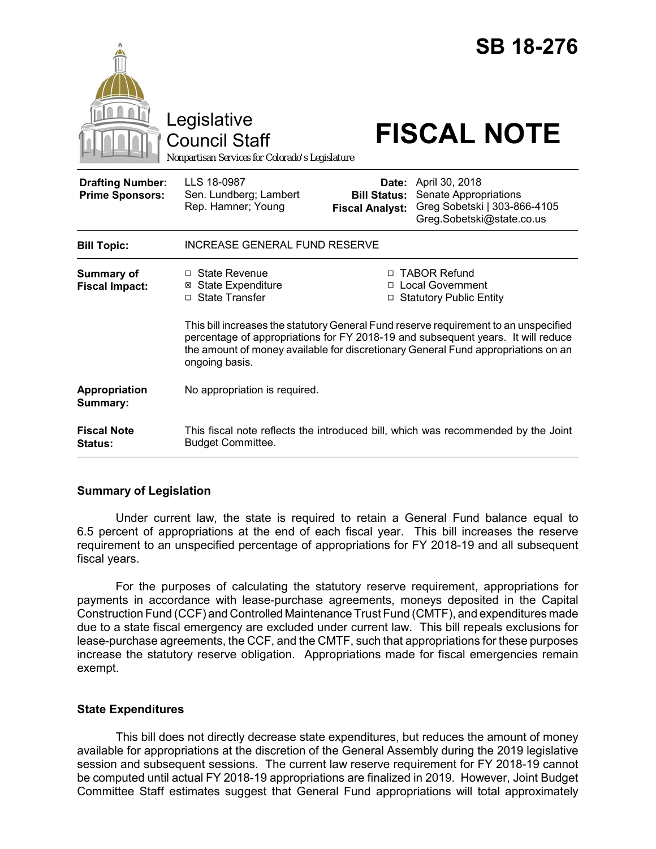|                                                   | Legislative<br><b>Council Staff</b><br>Nonpartisan Services for Colorado's Legislature                                                                                                  |                                                        | <b>SB 18-276</b><br><b>FISCAL NOTE</b>                                                                                                                         |
|---------------------------------------------------|-----------------------------------------------------------------------------------------------------------------------------------------------------------------------------------------|--------------------------------------------------------|----------------------------------------------------------------------------------------------------------------------------------------------------------------|
| <b>Drafting Number:</b><br><b>Prime Sponsors:</b> | LLS 18-0987<br>Sen. Lundberg; Lambert<br>Rep. Hamner; Young                                                                                                                             | Date:<br><b>Bill Status:</b><br><b>Fiscal Analyst:</b> | April 30, 2018<br>Senate Appropriations<br>Greg Sobetski   303-866-4105<br>Greg.Sobetski@state.co.us                                                           |
| <b>Bill Topic:</b>                                | <b>INCREASE GENERAL FUND RESERVE</b>                                                                                                                                                    |                                                        |                                                                                                                                                                |
| <b>Summary of</b><br><b>Fiscal Impact:</b>        | □ State Revenue<br><b>State Expenditure</b><br>⊠<br>□ State Transfer                                                                                                                    | п                                                      | □ TABOR Refund<br><b>Local Government</b><br>□ Statutory Public Entity<br>This bill increases the statutory General Fund reserve requirement to an unspecified |
|                                                   | percentage of appropriations for FY 2018-19 and subsequent years. It will reduce<br>the amount of money available for discretionary General Fund appropriations on an<br>ongoing basis. |                                                        |                                                                                                                                                                |
| Appropriation<br>Summary:                         | No appropriation is required.                                                                                                                                                           |                                                        |                                                                                                                                                                |
| <b>Fiscal Note</b><br>Status:                     | This fiscal note reflects the introduced bill, which was recommended by the Joint<br><b>Budget Committee.</b>                                                                           |                                                        |                                                                                                                                                                |

## **Summary of Legislation**

Under current law, the state is required to retain a General Fund balance equal to 6.5 percent of appropriations at the end of each fiscal year. This bill increases the reserve requirement to an unspecified percentage of appropriations for FY 2018-19 and all subsequent fiscal years.

For the purposes of calculating the statutory reserve requirement, appropriations for payments in accordance with lease-purchase agreements, moneys deposited in the Capital Construction Fund (CCF) and Controlled Maintenance Trust Fund (CMTF), and expenditures made due to a state fiscal emergency are excluded under current law. This bill repeals exclusions for lease-purchase agreements, the CCF, and the CMTF, such that appropriations for these purposes increase the statutory reserve obligation. Appropriations made for fiscal emergencies remain exempt.

## **State Expenditures**

This bill does not directly decrease state expenditures, but reduces the amount of money available for appropriations at the discretion of the General Assembly during the 2019 legislative session and subsequent sessions. The current law reserve requirement for FY 2018-19 cannot be computed until actual FY 2018-19 appropriations are finalized in 2019. However, Joint Budget Committee Staff estimates suggest that General Fund appropriations will total approximately